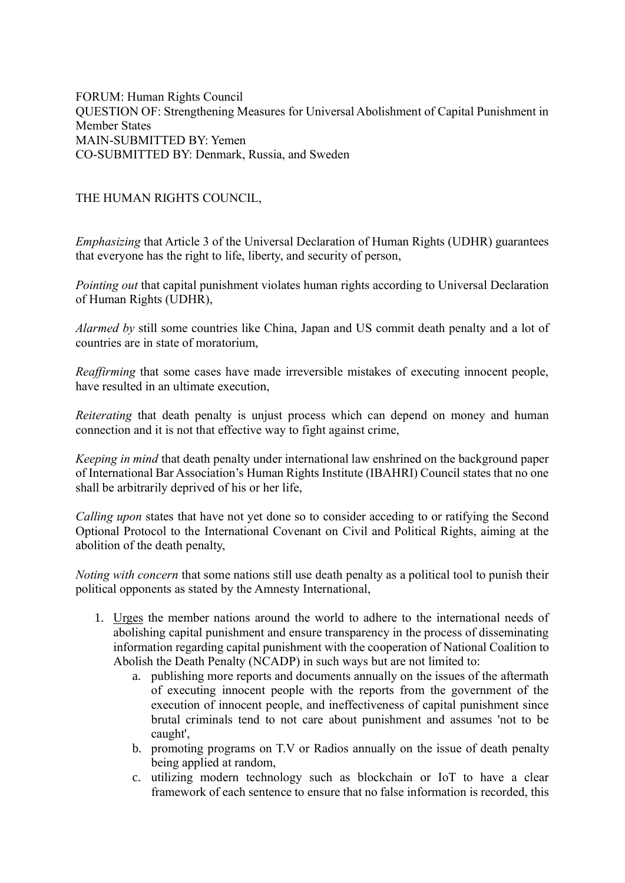FORUM: Human Rights Council QUESTION OF: Strengthening Measures for Universal Abolishment of Capital Punishment in Member States MAIN-SUBMITTED BY: Yemen CO-SUBMITTED BY: Denmark, Russia, and Sweden

## THE HUMAN RIGHTS COUNCIL,

*Emphasizing* that Article 3 of the Universal Declaration of Human Rights (UDHR) guarantees that everyone has the right to life, liberty, and security of person,

*Pointing out* that capital punishment violates human rights according to Universal Declaration of Human Rights (UDHR),

*Alarmed by* still some countries like China, Japan and US commit death penalty and a lot of countries are in state of moratorium,

*Reaffirming* that some cases have made irreversible mistakes of executing innocent people, have resulted in an ultimate execution,

*Reiterating* that death penalty is unjust process which can depend on money and human connection and it is not that effective way to fight against crime,

*Keeping in mind* that death penalty under international law enshrined on the background paper of International Bar Association's Human Rights Institute (IBAHRI) Council states that no one shall be arbitrarily deprived of his or her life,

*Calling upon* states that have not yet done so to consider acceding to or ratifying the Second Optional Protocol to the International Covenant on Civil and Political Rights, aiming at the abolition of the death penalty,

*Noting with concern* that some nations still use death penalty as a political tool to punish their political opponents as stated by the Amnesty International,

- 1. Urges the member nations around the world to adhere to the international needs of abolishing capital punishment and ensure transparency in the process of disseminating information regarding capital punishment with the cooperation of National Coalition to Abolish the Death Penalty (NCADP) in such ways but are not limited to:
	- a. publishing more reports and documents annually on the issues of the aftermath of executing innocent people with the reports from the government of the execution of innocent people, and ineffectiveness of capital punishment since brutal criminals tend to not care about punishment and assumes 'not to be caught',
	- b. promoting programs on T.V or Radios annually on the issue of death penalty being applied at random,
	- c. utilizing modern technology such as blockchain or IoT to have a clear framework of each sentence to ensure that no false information is recorded, this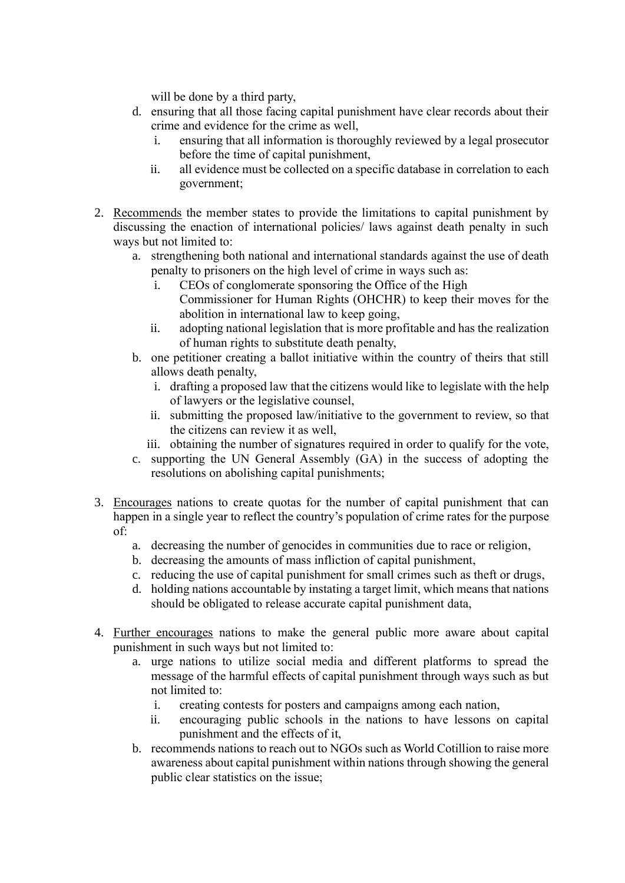will be done by a third party,

- d. ensuring that all those facing capital punishment have clear records about their crime and evidence for the crime as well,
	- i. ensuring that all information is thoroughly reviewed by a legal prosecutor before the time of capital punishment,
	- ii. all evidence must be collected on a specific database in correlation to each government;
- 2. Recommends the member states to provide the limitations to capital punishment by discussing the enaction of international policies/ laws against death penalty in such ways but not limited to:
	- a. strengthening both national and international standards against the use of death penalty to prisoners on the high level of crime in ways such as:
		- i. CEOs of conglomerate sponsoring the Office of the High
			- Commissioner for Human Rights (OHCHR) to keep their moves for the abolition in international law to keep going,
		- ii. adopting national legislation that is more profitable and has the realization of human rights to substitute death penalty,
	- b. one petitioner creating a ballot initiative within the country of theirs that still allows death penalty,
		- i. drafting a proposed law that the citizens would like to legislate with the help of lawyers or the legislative counsel,
		- ii. submitting the proposed law/initiative to the government to review, so that the citizens can review it as well,
		- iii. obtaining the number of signatures required in order to qualify for the vote,
	- c. supporting the UN General Assembly (GA) in the success of adopting the resolutions on abolishing capital punishments;
- 3. Encourages nations to create quotas for the number of capital punishment that can happen in a single year to reflect the country's population of crime rates for the purpose of:
	- a. decreasing the number of genocides in communities due to race or religion,
	- b. decreasing the amounts of mass infliction of capital punishment,
	- c. reducing the use of capital punishment for small crimes such as theft or drugs,
	- d. holding nations accountable by instating a target limit, which means that nations should be obligated to release accurate capital punishment data,
- 4. Further encourages nations to make the general public more aware about capital punishment in such ways but not limited to:
	- a. urge nations to utilize social media and different platforms to spread the message of the harmful effects of capital punishment through ways such as but not limited to:
		- i. creating contests for posters and campaigns among each nation,
		- ii. encouraging public schools in the nations to have lessons on capital punishment and the effects of it,
	- b. recommends nations to reach out to NGOs such as World Cotillion to raise more awareness about capital punishment within nations through showing the general public clear statistics on the issue;